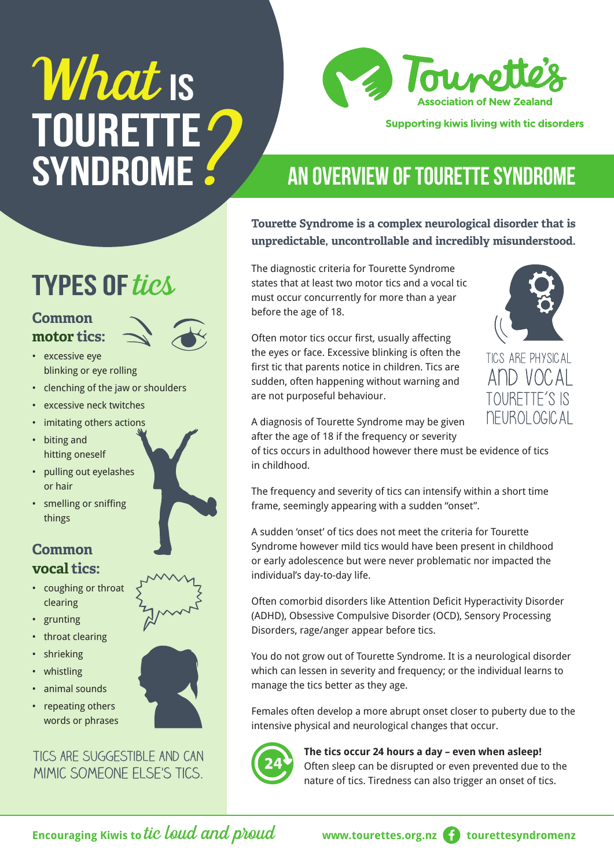# What **is**  TOURETTE?



#### **Common motor tics:**



- excessive eye blinking or eye rolling
- clenching of the jaw or shoulders
- excessive neck twitches
- imitating others actions
- biting and hitting oneself
- pulling out eyelashes or hair
- smelling or sniffing things

## **Common vocal tics:**

- coughing or throat clearing
- grunting
- throat clearing
- shrieking
- whistling
- animal sounds
- repeating others words or phrases

### Tics are suggestible and can mimic someone else's tics.



**Supporting kiwis living with tic disorders** 

## **An overview of Tourette Syndrome**

**Tourette Syndrome is a complex neurological disorder that is unpredictable, uncontrollable and incredibly misunderstood.**

The diagnostic criteria for Tourette Syndrome states that at least two motor tics and a vocal tic must occur concurrently for more than a year before the age of 18.

Often motor tics occur first, usually affecting the eyes or face. Excessive blinking is often the first tic that parents notice in children. Tics are sudden, often happening without warning and are not purposeful behaviour.



**NEUROLOGICAL** 

A diagnosis of Tourette Syndrome may be given after the age of 18 if the frequency or severity

of tics occurs in adulthood however there must be evidence of tics in childhood.

The frequency and severity of tics can intensify within a short time frame, seemingly appearing with a sudden "onset".

A sudden 'onset' of tics does not meet the criteria for Tourette Syndrome however mild tics would have been present in childhood or early adolescence but were never problematic nor impacted the individual's day-to-day life.

Often comorbid disorders like Attention Deficit Hyperactivity Disorder (ADHD), Obsessive Compulsive Disorder (OCD), Sensory Processing Disorders, rage/anger appear before tics.

You do not grow out of Tourette Syndrome. It is a neurological disorder which can lessen in severity and frequency; or the individual learns to manage the tics better as they age.

Females often develop a more abrupt onset closer to puberty due to the intensive physical and neurological changes that occur.



**The tics occur 24 hours a day – even when asleep!**  Often sleep can be disrupted or even prevented due to the nature of tics. Tiredness can also trigger an onset of tics.

Encouraging Kiwis to *tic loud and proud* www.tourettes.org.nz **f** tourettesyndromenz